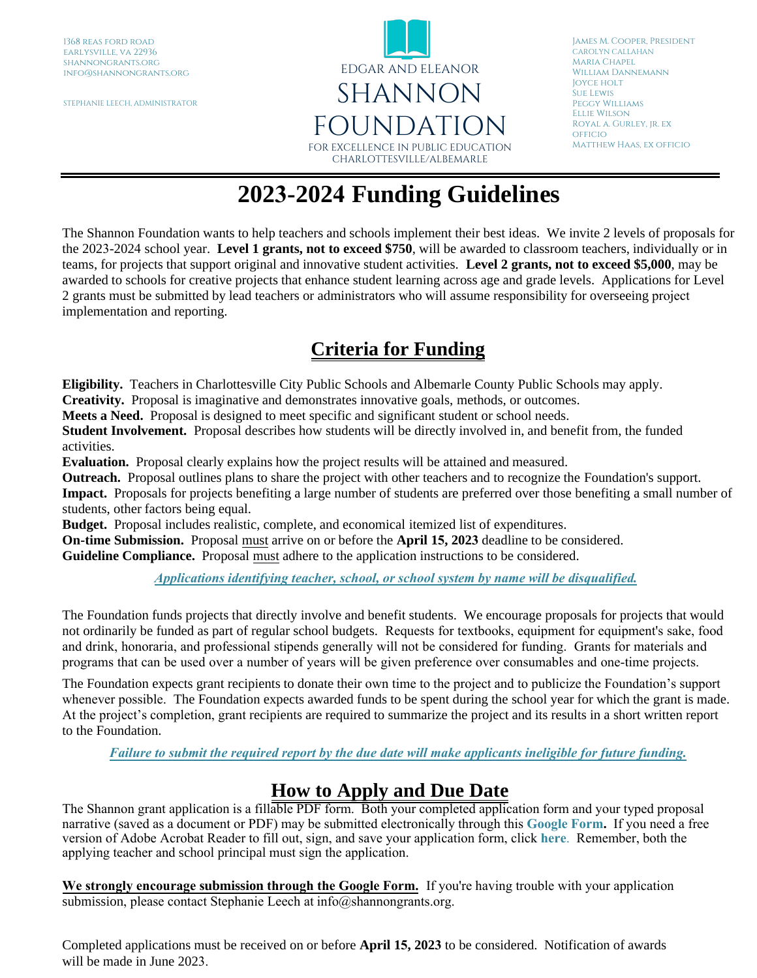STEPHANIE LEECH, ADMINISTRATOR



James M. Cooper, President CAROLYN CALLAHAN Maria Chapel William Dannemann Joyce holt Sue Lewis Peggy Williams Ellie Wilson Royal a. Gurley, jr. ex **OFFICIO** Matthew Haas, ex officio

## **2023-2024 Funding Guidelines**

The Shannon Foundation wants to help teachers and schools implement their best ideas. We invite 2 levels of proposals for the 2023-2024 school year. **Level 1 grants, not to exceed \$750**, will be awarded to classroom teachers, individually or in teams, for projects that support original and innovative student activities. **Level 2 grants, not to exceed \$5,000**, may be awarded to schools for creative projects that enhance student learning across age and grade levels. Applications for Level 2 grants must be submitted by lead teachers or administrators who will assume responsibility for overseeing project implementation and reporting.

## **Criteria for Funding**

**Eligibility.** Teachers in Charlottesville City Public Schools and Albemarle County Public Schools may apply.

**Creativity.** Proposal is imaginative and demonstrates innovative goals, methods, or outcomes.

**Meets a Need.** Proposal is designed to meet specific and significant student or school needs.

**Student Involvement.** Proposal describes how students will be directly involved in, and benefit from, the funded activities.

**Evaluation.** Proposal clearly explains how the project results will be attained and measured.

**Outreach.** Proposal outlines plans to share the project with other teachers and to recognize the Foundation's support.

**Impact.** Proposals for projects benefiting a large number of students are preferred over those benefiting a small number of students, other factors being equal.

**Budget.** Proposal includes realistic, complete, and economical itemized list of expenditures.

**On-time Submission.** Proposal must arrive on or before the **April 15, 2023** deadline to be considered.

**Guideline Compliance.** Proposal must adhere to the application instructions to be considered.

*Applications identifying teacher, school, or school system by name will be disqualified.*

The Foundation funds projects that directly involve and benefit students. We encourage proposals for projects that would not ordinarily be funded as part of regular school budgets. Requests for textbooks, equipment for equipment's sake, food and drink, honoraria, and professional stipends generally will not be considered for funding. Grants for materials and programs that can be used over a number of years will be given preference over consumables and one-time projects.

The Foundation expects grant recipients to donate their own time to the project and to publicize the Foundation's support whenever possible. The Foundation expects awarded funds to be spent during the school year for which the grant is made. At the project's completion, grant recipients are required to summarize the project and its results in a short written report to the Foundation.

*Failure to submit the required report by the due date will make applicants ineligible for future funding.*

## **How to Apply and Due Date**

The Shannon grant application is a fillable PDF form. Both your completed application form and your typed proposal narrative (saved as a document or PDF) may be submitted electronically through this **[Google Form.](https://docs.google.com/forms/d/e/1FAIpQLSf02ce1CZUfQmJqQz0c-F_4LCnhVAdf5jpYeenOQlv23hY9yQ/viewform?usp=sf_link)** If you need a free version of Adobe Acrobat Reader to fill out, sign, and save your application form, click **[here](https://www.adobe.com/acrobat/pdf-reader.html)**. Remember, both the applying teacher and school principal must sign the application.

**We strongly encourage submission through the Google Form.** If you're having trouble with your application submission, please contact Stephanie Leech at info@shannongrants.org.

Completed applications must be received on or before **April 15, 2023** to be considered. Notification of awards will be made in June 2023.